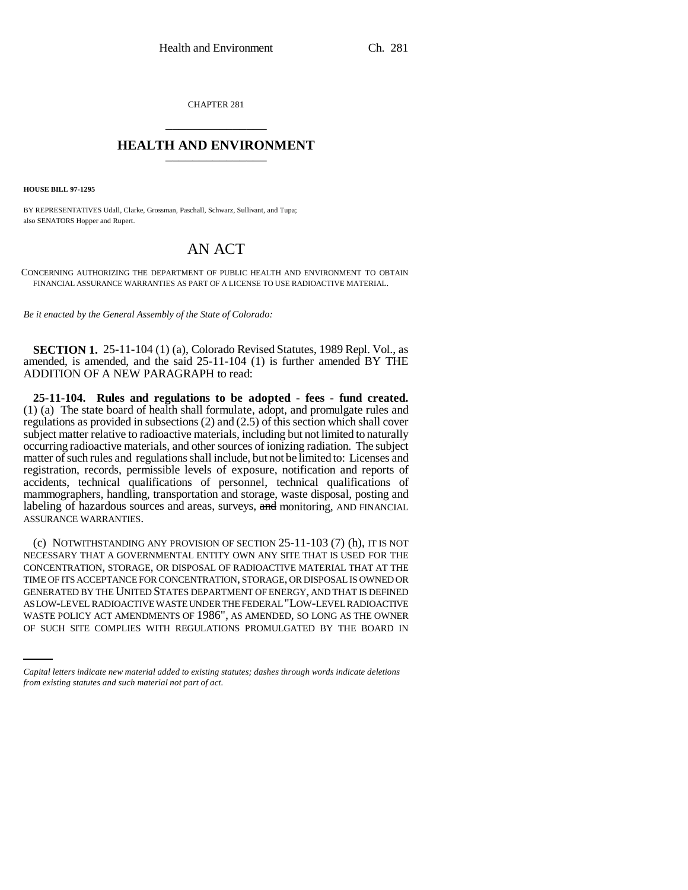CHAPTER 281 \_\_\_\_\_\_\_\_\_\_\_\_\_\_\_

## **HEALTH AND ENVIRONMENT** \_\_\_\_\_\_\_\_\_\_\_\_\_\_\_

**HOUSE BILL 97-1295**

BY REPRESENTATIVES Udall, Clarke, Grossman, Paschall, Schwarz, Sullivant, and Tupa; also SENATORS Hopper and Rupert.

# AN ACT

CONCERNING AUTHORIZING THE DEPARTMENT OF PUBLIC HEALTH AND ENVIRONMENT TO OBTAIN FINANCIAL ASSURANCE WARRANTIES AS PART OF A LICENSE TO USE RADIOACTIVE MATERIAL.

*Be it enacted by the General Assembly of the State of Colorado:*

**SECTION 1.** 25-11-104 (1) (a), Colorado Revised Statutes, 1989 Repl. Vol., as amended, is amended, and the said 25-11-104 (1) is further amended BY THE ADDITION OF A NEW PARAGRAPH to read:

**25-11-104. Rules and regulations to be adopted - fees - fund created.** (1) (a) The state board of health shall formulate, adopt, and promulgate rules and regulations as provided in subsections (2) and (2.5) of this section which shall cover subject matter relative to radioactive materials, including but not limited to naturally occurring radioactive materials, and other sources of ionizing radiation. The subject matter of such rules and regulations shall include, but not be limited to: Licenses and registration, records, permissible levels of exposure, notification and reports of accidents, technical qualifications of personnel, technical qualifications of mammographers, handling, transportation and storage, waste disposal, posting and labeling of hazardous sources and areas, surveys, and monitoring, AND FINANCIAL ASSURANCE WARRANTIES.

AS LOW-LEVEL RADIOACTIVE WASTE UNDER THE FEDERAL "LOW-LEVEL RADIOACTIVE (c) NOTWITHSTANDING ANY PROVISION OF SECTION 25-11-103 (7) (h), IT IS NOT NECESSARY THAT A GOVERNMENTAL ENTITY OWN ANY SITE THAT IS USED FOR THE CONCENTRATION, STORAGE, OR DISPOSAL OF RADIOACTIVE MATERIAL THAT AT THE TIME OF ITS ACCEPTANCE FOR CONCENTRATION, STORAGE, OR DISPOSAL IS OWNED OR GENERATED BY THE UNITED STATES DEPARTMENT OF ENERGY, AND THAT IS DEFINED WASTE POLICY ACT AMENDMENTS OF 1986", AS AMENDED, SO LONG AS THE OWNER OF SUCH SITE COMPLIES WITH REGULATIONS PROMULGATED BY THE BOARD IN

*Capital letters indicate new material added to existing statutes; dashes through words indicate deletions from existing statutes and such material not part of act.*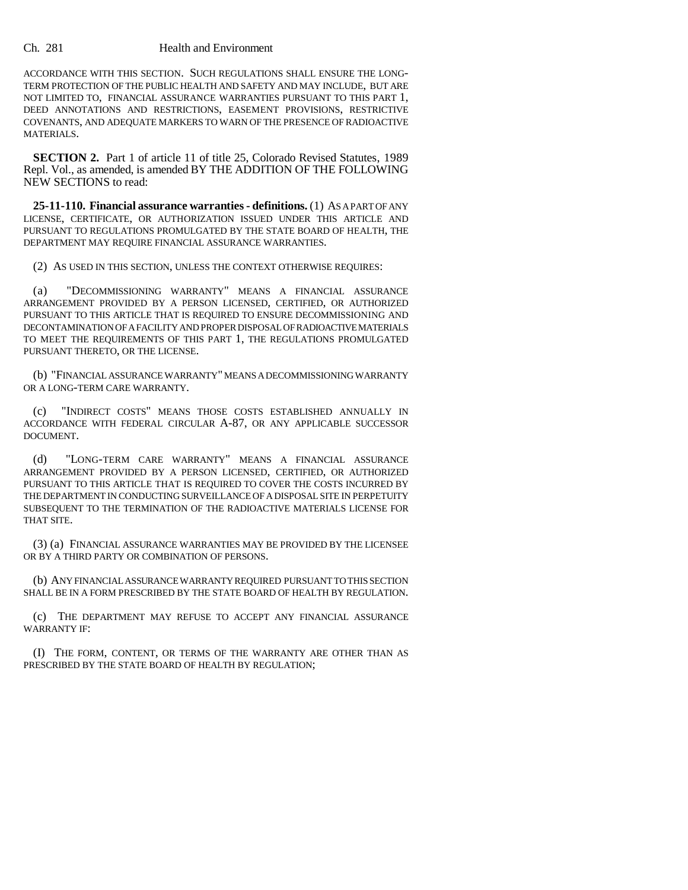#### Ch. 281 Health and Environment

ACCORDANCE WITH THIS SECTION. SUCH REGULATIONS SHALL ENSURE THE LONG-TERM PROTECTION OF THE PUBLIC HEALTH AND SAFETY AND MAY INCLUDE, BUT ARE NOT LIMITED TO, FINANCIAL ASSURANCE WARRANTIES PURSUANT TO THIS PART 1, DEED ANNOTATIONS AND RESTRICTIONS, EASEMENT PROVISIONS, RESTRICTIVE COVENANTS, AND ADEQUATE MARKERS TO WARN OF THE PRESENCE OF RADIOACTIVE MATERIALS.

**SECTION 2.** Part 1 of article 11 of title 25, Colorado Revised Statutes, 1989 Repl. Vol., as amended, is amended BY THE ADDITION OF THE FOLLOWING NEW SECTIONS to read:

**25-11-110. Financial assurance warranties - definitions.** (1) AS A PART OF ANY LICENSE, CERTIFICATE, OR AUTHORIZATION ISSUED UNDER THIS ARTICLE AND PURSUANT TO REGULATIONS PROMULGATED BY THE STATE BOARD OF HEALTH, THE DEPARTMENT MAY REQUIRE FINANCIAL ASSURANCE WARRANTIES.

(2) AS USED IN THIS SECTION, UNLESS THE CONTEXT OTHERWISE REQUIRES:

(a) "DECOMMISSIONING WARRANTY" MEANS A FINANCIAL ASSURANCE ARRANGEMENT PROVIDED BY A PERSON LICENSED, CERTIFIED, OR AUTHORIZED PURSUANT TO THIS ARTICLE THAT IS REQUIRED TO ENSURE DECOMMISSIONING AND DECONTAMINATION OF A FACILITY AND PROPER DISPOSAL OF RADIOACTIVE MATERIALS TO MEET THE REQUIREMENTS OF THIS PART 1, THE REGULATIONS PROMULGATED PURSUANT THERETO, OR THE LICENSE.

(b) "FINANCIAL ASSURANCE WARRANTY" MEANS A DECOMMISSIONING WARRANTY OR A LONG-TERM CARE WARRANTY.

(c) "INDIRECT COSTS" MEANS THOSE COSTS ESTABLISHED ANNUALLY IN ACCORDANCE WITH FEDERAL CIRCULAR A-87, OR ANY APPLICABLE SUCCESSOR DOCUMENT.

(d) "LONG-TERM CARE WARRANTY" MEANS A FINANCIAL ASSURANCE ARRANGEMENT PROVIDED BY A PERSON LICENSED, CERTIFIED, OR AUTHORIZED PURSUANT TO THIS ARTICLE THAT IS REQUIRED TO COVER THE COSTS INCURRED BY THE DEPARTMENT IN CONDUCTING SURVEILLANCE OF A DISPOSAL SITE IN PERPETUITY SUBSEQUENT TO THE TERMINATION OF THE RADIOACTIVE MATERIALS LICENSE FOR THAT SITE.

(3) (a) FINANCIAL ASSURANCE WARRANTIES MAY BE PROVIDED BY THE LICENSEE OR BY A THIRD PARTY OR COMBINATION OF PERSONS.

(b) ANY FINANCIAL ASSURANCE WARRANTY REQUIRED PURSUANT TO THIS SECTION SHALL BE IN A FORM PRESCRIBED BY THE STATE BOARD OF HEALTH BY REGULATION.

(c) THE DEPARTMENT MAY REFUSE TO ACCEPT ANY FINANCIAL ASSURANCE WARRANTY IF:

(I) THE FORM, CONTENT, OR TERMS OF THE WARRANTY ARE OTHER THAN AS PRESCRIBED BY THE STATE BOARD OF HEALTH BY REGULATION;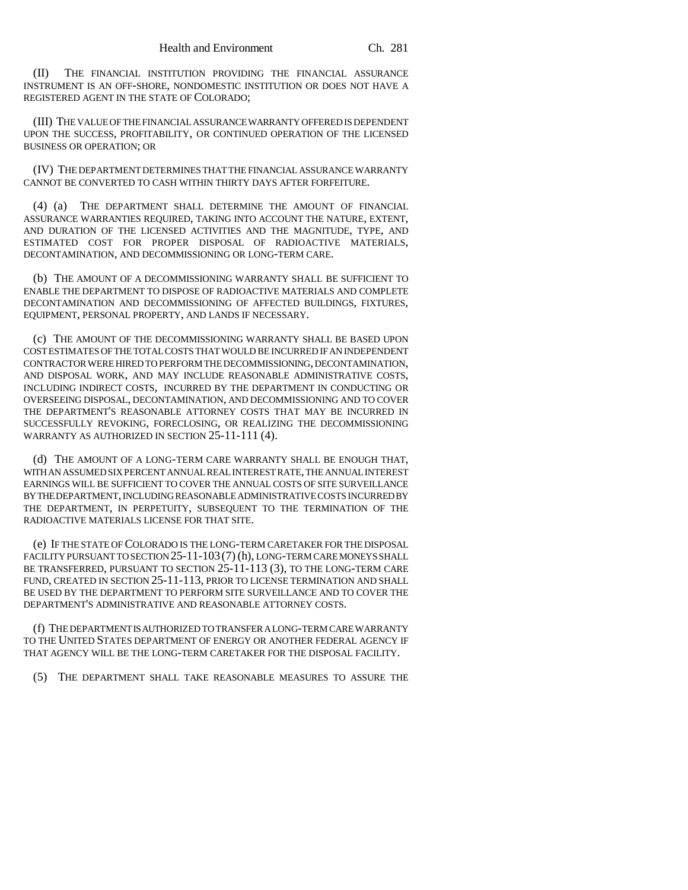(II) THE FINANCIAL INSTITUTION PROVIDING THE FINANCIAL ASSURANCE INSTRUMENT IS AN OFF-SHORE, NONDOMESTIC INSTITUTION OR DOES NOT HAVE A REGISTERED AGENT IN THE STATE OF COLORADO;

(III) THE VALUE OF THE FINANCIAL ASSURANCE WARRANTY OFFERED IS DEPENDENT UPON THE SUCCESS, PROFITABILITY, OR CONTINUED OPERATION OF THE LICENSED BUSINESS OR OPERATION; OR

(IV) THE DEPARTMENT DETERMINES THAT THE FINANCIAL ASSURANCE WARRANTY CANNOT BE CONVERTED TO CASH WITHIN THIRTY DAYS AFTER FORFEITURE.

(4) (a) THE DEPARTMENT SHALL DETERMINE THE AMOUNT OF FINANCIAL ASSURANCE WARRANTIES REQUIRED, TAKING INTO ACCOUNT THE NATURE, EXTENT, AND DURATION OF THE LICENSED ACTIVITIES AND THE MAGNITUDE, TYPE, AND ESTIMATED COST FOR PROPER DISPOSAL OF RADIOACTIVE MATERIALS, DECONTAMINATION, AND DECOMMISSIONING OR LONG-TERM CARE.

(b) THE AMOUNT OF A DECOMMISSIONING WARRANTY SHALL BE SUFFICIENT TO ENABLE THE DEPARTMENT TO DISPOSE OF RADIOACTIVE MATERIALS AND COMPLETE DECONTAMINATION AND DECOMMISSIONING OF AFFECTED BUILDINGS, FIXTURES, EQUIPMENT, PERSONAL PROPERTY, AND LANDS IF NECESSARY.

(c) THE AMOUNT OF THE DECOMMISSIONING WARRANTY SHALL BE BASED UPON COST ESTIMATES OF THE TOTAL COSTS THAT WOULD BE INCURRED IF AN INDEPENDENT CONTRACTOR WERE HIRED TO PERFORM THE DECOMMISSIONING, DECONTAMINATION, AND DISPOSAL WORK, AND MAY INCLUDE REASONABLE ADMINISTRATIVE COSTS, INCLUDING INDIRECT COSTS, INCURRED BY THE DEPARTMENT IN CONDUCTING OR OVERSEEING DISPOSAL, DECONTAMINATION, AND DECOMMISSIONING AND TO COVER THE DEPARTMENT'S REASONABLE ATTORNEY COSTS THAT MAY BE INCURRED IN SUCCESSFULLY REVOKING, FORECLOSING, OR REALIZING THE DECOMMISSIONING WARRANTY AS AUTHORIZED IN SECTION 25-11-111 (4).

(d) THE AMOUNT OF A LONG-TERM CARE WARRANTY SHALL BE ENOUGH THAT, WITH AN ASSUMED SIX PERCENT ANNUAL REAL INTEREST RATE, THE ANNUAL INTEREST EARNINGS WILL BE SUFFICIENT TO COVER THE ANNUAL COSTS OF SITE SURVEILLANCE BY THE DEPARTMENT, INCLUDING REASONABLE ADMINISTRATIVE COSTS INCURRED BY THE DEPARTMENT, IN PERPETUITY, SUBSEQUENT TO THE TERMINATION OF THE RADIOACTIVE MATERIALS LICENSE FOR THAT SITE.

(e) IF THE STATE OF COLORADO IS THE LONG-TERM CARETAKER FOR THE DISPOSAL FACILITY PURSUANT TO SECTION 25-11-103 (7) (h), LONG-TERM CARE MONEYS SHALL BE TRANSFERRED, PURSUANT TO SECTION 25-11-113 (3), TO THE LONG-TERM CARE FUND, CREATED IN SECTION 25-11-113, PRIOR TO LICENSE TERMINATION AND SHALL BE USED BY THE DEPARTMENT TO PERFORM SITE SURVEILLANCE AND TO COVER THE DEPARTMENT'S ADMINISTRATIVE AND REASONABLE ATTORNEY COSTS.

(f) THE DEPARTMENT IS AUTHORIZED TO TRANSFER A LONG-TERM CARE WARRANTY TO THE UNITED STATES DEPARTMENT OF ENERGY OR ANOTHER FEDERAL AGENCY IF THAT AGENCY WILL BE THE LONG-TERM CARETAKER FOR THE DISPOSAL FACILITY.

(5) THE DEPARTMENT SHALL TAKE REASONABLE MEASURES TO ASSURE THE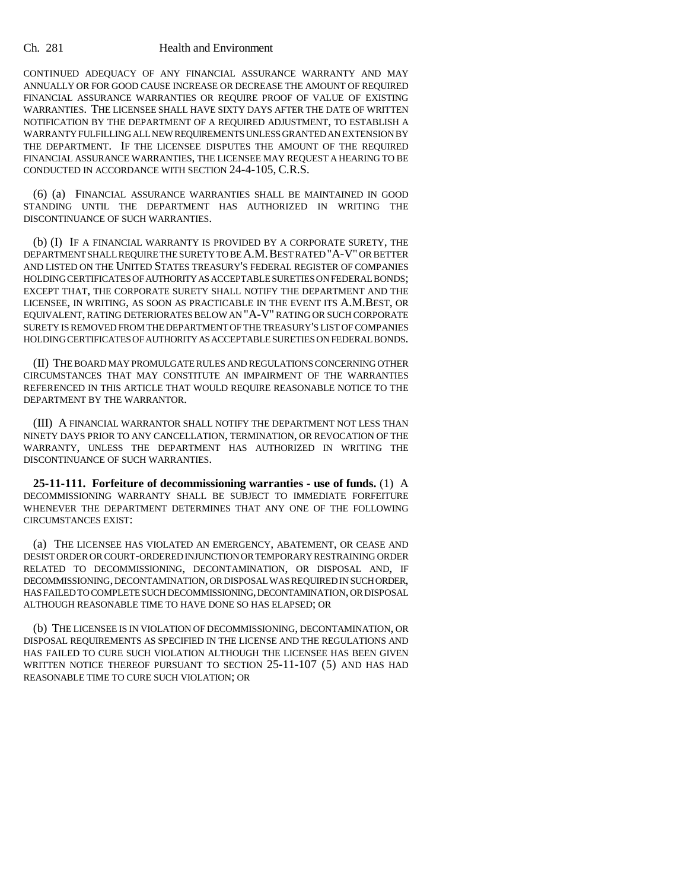#### Ch. 281 Health and Environment

CONTINUED ADEQUACY OF ANY FINANCIAL ASSURANCE WARRANTY AND MAY ANNUALLY OR FOR GOOD CAUSE INCREASE OR DECREASE THE AMOUNT OF REQUIRED FINANCIAL ASSURANCE WARRANTIES OR REQUIRE PROOF OF VALUE OF EXISTING WARRANTIES. THE LICENSEE SHALL HAVE SIXTY DAYS AFTER THE DATE OF WRITTEN NOTIFICATION BY THE DEPARTMENT OF A REQUIRED ADJUSTMENT, TO ESTABLISH A WARRANTY FULFILLING ALL NEW REQUIREMENTS UNLESS GRANTED AN EXTENSION BY THE DEPARTMENT. IF THE LICENSEE DISPUTES THE AMOUNT OF THE REQUIRED FINANCIAL ASSURANCE WARRANTIES, THE LICENSEE MAY REQUEST A HEARING TO BE CONDUCTED IN ACCORDANCE WITH SECTION 24-4-105, C.R.S.

(6) (a) FINANCIAL ASSURANCE WARRANTIES SHALL BE MAINTAINED IN GOOD STANDING UNTIL THE DEPARTMENT HAS AUTHORIZED IN WRITING THE DISCONTINUANCE OF SUCH WARRANTIES.

(b) (I) IF A FINANCIAL WARRANTY IS PROVIDED BY A CORPORATE SURETY, THE DEPARTMENT SHALL REQUIRE THE SURETY TO BE A.M.BEST RATED "A-V" OR BETTER AND LISTED ON THE UNITED STATES TREASURY'S FEDERAL REGISTER OF COMPANIES HOLDING CERTIFICATES OF AUTHORITY AS ACCEPTABLE SURETIES ON FEDERAL BONDS; EXCEPT THAT, THE CORPORATE SURETY SHALL NOTIFY THE DEPARTMENT AND THE LICENSEE, IN WRITING, AS SOON AS PRACTICABLE IN THE EVENT ITS A.M.BEST, OR EQUIVALENT, RATING DETERIORATES BELOW AN "A-V" RATING OR SUCH CORPORATE SURETY IS REMOVED FROM THE DEPARTMENT OF THE TREASURY'S LIST OF COMPANIES HOLDING CERTIFICATES OF AUTHORITY AS ACCEPTABLE SURETIES ON FEDERAL BONDS.

(II) THE BOARD MAY PROMULGATE RULES AND REGULATIONS CONCERNING OTHER CIRCUMSTANCES THAT MAY CONSTITUTE AN IMPAIRMENT OF THE WARRANTIES REFERENCED IN THIS ARTICLE THAT WOULD REQUIRE REASONABLE NOTICE TO THE DEPARTMENT BY THE WARRANTOR.

(III) A FINANCIAL WARRANTOR SHALL NOTIFY THE DEPARTMENT NOT LESS THAN NINETY DAYS PRIOR TO ANY CANCELLATION, TERMINATION, OR REVOCATION OF THE WARRANTY, UNLESS THE DEPARTMENT HAS AUTHORIZED IN WRITING THE DISCONTINUANCE OF SUCH WARRANTIES.

**25-11-111. Forfeiture of decommissioning warranties - use of funds.** (1) A DECOMMISSIONING WARRANTY SHALL BE SUBJECT TO IMMEDIATE FORFEITURE WHENEVER THE DEPARTMENT DETERMINES THAT ANY ONE OF THE FOLLOWING CIRCUMSTANCES EXIST:

(a) THE LICENSEE HAS VIOLATED AN EMERGENCY, ABATEMENT, OR CEASE AND DESIST ORDER OR COURT-ORDERED INJUNCTION OR TEMPORARY RESTRAINING ORDER RELATED TO DECOMMISSIONING, DECONTAMINATION, OR DISPOSAL AND, IF DECOMMISSIONING, DECONTAMINATION, OR DISPOSAL WAS REQUIRED IN SUCH ORDER, HAS FAILED TO COMPLETE SUCH DECOMMISSIONING, DECONTAMINATION, OR DISPOSAL ALTHOUGH REASONABLE TIME TO HAVE DONE SO HAS ELAPSED; OR

(b) THE LICENSEE IS IN VIOLATION OF DECOMMISSIONING, DECONTAMINATION, OR DISPOSAL REQUIREMENTS AS SPECIFIED IN THE LICENSE AND THE REGULATIONS AND HAS FAILED TO CURE SUCH VIOLATION ALTHOUGH THE LICENSEE HAS BEEN GIVEN WRITTEN NOTICE THEREOF PURSUANT TO SECTION 25-11-107 (5) AND HAS HAD REASONABLE TIME TO CURE SUCH VIOLATION; OR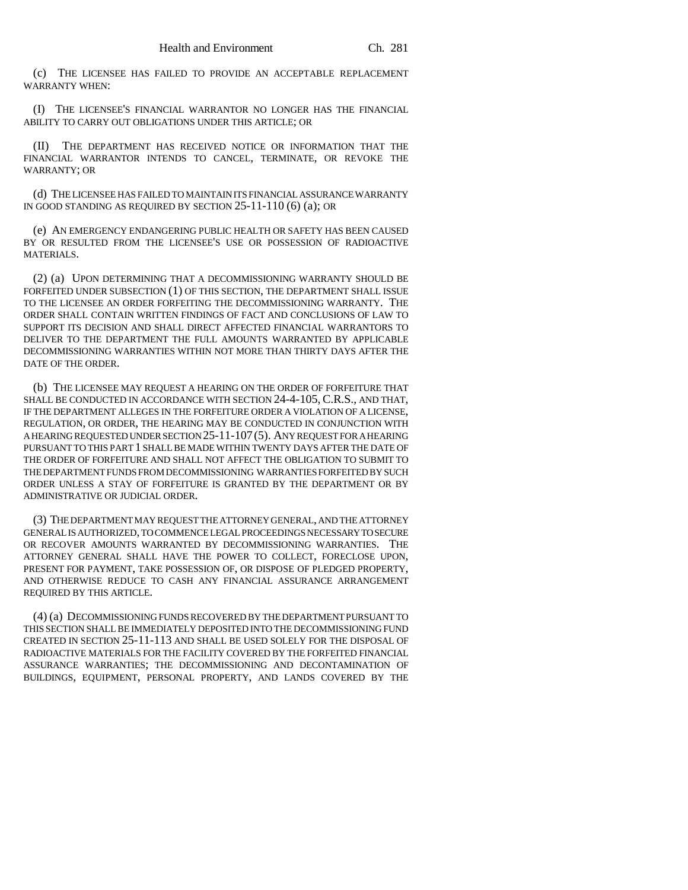(c) THE LICENSEE HAS FAILED TO PROVIDE AN ACCEPTABLE REPLACEMENT WARRANTY WHEN:

(I) THE LICENSEE'S FINANCIAL WARRANTOR NO LONGER HAS THE FINANCIAL ABILITY TO CARRY OUT OBLIGATIONS UNDER THIS ARTICLE; OR

(II) THE DEPARTMENT HAS RECEIVED NOTICE OR INFORMATION THAT THE FINANCIAL WARRANTOR INTENDS TO CANCEL, TERMINATE, OR REVOKE THE WARRANTY; OR

(d) THE LICENSEE HAS FAILED TO MAINTAIN ITS FINANCIAL ASSURANCE WARRANTY IN GOOD STANDING AS REQUIRED BY SECTION 25-11-110 (6) (a); OR

(e) AN EMERGENCY ENDANGERING PUBLIC HEALTH OR SAFETY HAS BEEN CAUSED BY OR RESULTED FROM THE LICENSEE'S USE OR POSSESSION OF RADIOACTIVE MATERIALS.

(2) (a) UPON DETERMINING THAT A DECOMMISSIONING WARRANTY SHOULD BE FORFEITED UNDER SUBSECTION (1) OF THIS SECTION, THE DEPARTMENT SHALL ISSUE TO THE LICENSEE AN ORDER FORFEITING THE DECOMMISSIONING WARRANTY. THE ORDER SHALL CONTAIN WRITTEN FINDINGS OF FACT AND CONCLUSIONS OF LAW TO SUPPORT ITS DECISION AND SHALL DIRECT AFFECTED FINANCIAL WARRANTORS TO DELIVER TO THE DEPARTMENT THE FULL AMOUNTS WARRANTED BY APPLICABLE DECOMMISSIONING WARRANTIES WITHIN NOT MORE THAN THIRTY DAYS AFTER THE DATE OF THE ORDER.

(b) THE LICENSEE MAY REQUEST A HEARING ON THE ORDER OF FORFEITURE THAT SHALL BE CONDUCTED IN ACCORDANCE WITH SECTION 24-4-105, C.R.S., AND THAT, IF THE DEPARTMENT ALLEGES IN THE FORFEITURE ORDER A VIOLATION OF A LICENSE, REGULATION, OR ORDER, THE HEARING MAY BE CONDUCTED IN CONJUNCTION WITH A HEARING REQUESTED UNDER SECTION 25-11-107(5). ANY REQUEST FOR A HEARING PURSUANT TO THIS PART 1 SHALL BE MADE WITHIN TWENTY DAYS AFTER THE DATE OF THE ORDER OF FORFEITURE AND SHALL NOT AFFECT THE OBLIGATION TO SUBMIT TO THE DEPARTMENT FUNDS FROM DECOMMISSIONING WARRANTIES FORFEITED BY SUCH ORDER UNLESS A STAY OF FORFEITURE IS GRANTED BY THE DEPARTMENT OR BY ADMINISTRATIVE OR JUDICIAL ORDER.

(3) THE DEPARTMENT MAY REQUEST THE ATTORNEY GENERAL, AND THE ATTORNEY GENERAL IS AUTHORIZED, TO COMMENCE LEGAL PROCEEDINGS NECESSARY TO SECURE OR RECOVER AMOUNTS WARRANTED BY DECOMMISSIONING WARRANTIES. THE ATTORNEY GENERAL SHALL HAVE THE POWER TO COLLECT, FORECLOSE UPON, PRESENT FOR PAYMENT, TAKE POSSESSION OF, OR DISPOSE OF PLEDGED PROPERTY, AND OTHERWISE REDUCE TO CASH ANY FINANCIAL ASSURANCE ARRANGEMENT REQUIRED BY THIS ARTICLE.

(4) (a) DECOMMISSIONING FUNDS RECOVERED BY THE DEPARTMENT PURSUANT TO THIS SECTION SHALL BE IMMEDIATELY DEPOSITED INTO THE DECOMMISSIONING FUND CREATED IN SECTION 25-11-113 AND SHALL BE USED SOLELY FOR THE DISPOSAL OF RADIOACTIVE MATERIALS FOR THE FACILITY COVERED BY THE FORFEITED FINANCIAL ASSURANCE WARRANTIES; THE DECOMMISSIONING AND DECONTAMINATION OF BUILDINGS, EQUIPMENT, PERSONAL PROPERTY, AND LANDS COVERED BY THE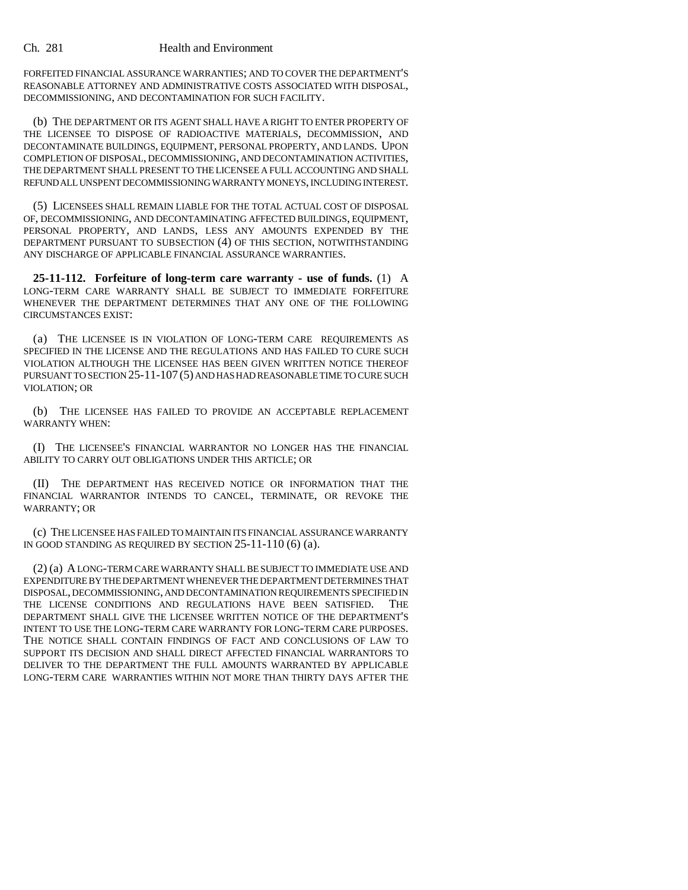#### Ch. 281 Health and Environment

FORFEITED FINANCIAL ASSURANCE WARRANTIES; AND TO COVER THE DEPARTMENT'S REASONABLE ATTORNEY AND ADMINISTRATIVE COSTS ASSOCIATED WITH DISPOSAL, DECOMMISSIONING, AND DECONTAMINATION FOR SUCH FACILITY.

(b) THE DEPARTMENT OR ITS AGENT SHALL HAVE A RIGHT TO ENTER PROPERTY OF THE LICENSEE TO DISPOSE OF RADIOACTIVE MATERIALS, DECOMMISSION, AND DECONTAMINATE BUILDINGS, EQUIPMENT, PERSONAL PROPERTY, AND LANDS. UPON COMPLETION OF DISPOSAL, DECOMMISSIONING, AND DECONTAMINATION ACTIVITIES, THE DEPARTMENT SHALL PRESENT TO THE LICENSEE A FULL ACCOUNTING AND SHALL REFUND ALL UNSPENT DECOMMISSIONING WARRANTY MONEYS, INCLUDING INTEREST.

(5) LICENSEES SHALL REMAIN LIABLE FOR THE TOTAL ACTUAL COST OF DISPOSAL OF, DECOMMISSIONING, AND DECONTAMINATING AFFECTED BUILDINGS, EQUIPMENT, PERSONAL PROPERTY, AND LANDS, LESS ANY AMOUNTS EXPENDED BY THE DEPARTMENT PURSUANT TO SUBSECTION (4) OF THIS SECTION, NOTWITHSTANDING ANY DISCHARGE OF APPLICABLE FINANCIAL ASSURANCE WARRANTIES.

**25-11-112. Forfeiture of long-term care warranty - use of funds.** (1) A LONG-TERM CARE WARRANTY SHALL BE SUBJECT TO IMMEDIATE FORFEITURE WHENEVER THE DEPARTMENT DETERMINES THAT ANY ONE OF THE FOLLOWING CIRCUMSTANCES EXIST:

(a) THE LICENSEE IS IN VIOLATION OF LONG-TERM CARE REQUIREMENTS AS SPECIFIED IN THE LICENSE AND THE REGULATIONS AND HAS FAILED TO CURE SUCH VIOLATION ALTHOUGH THE LICENSEE HAS BEEN GIVEN WRITTEN NOTICE THEREOF PURSUANT TO SECTION 25-11-107 (5) AND HAS HAD REASONABLE TIME TO CURE SUCH VIOLATION; OR

(b) THE LICENSEE HAS FAILED TO PROVIDE AN ACCEPTABLE REPLACEMENT WARRANTY WHEN:

(I) THE LICENSEE'S FINANCIAL WARRANTOR NO LONGER HAS THE FINANCIAL ABILITY TO CARRY OUT OBLIGATIONS UNDER THIS ARTICLE; OR

(II) THE DEPARTMENT HAS RECEIVED NOTICE OR INFORMATION THAT THE FINANCIAL WARRANTOR INTENDS TO CANCEL, TERMINATE, OR REVOKE THE WARRANTY; OR

(c) THE LICENSEE HAS FAILED TO MAINTAIN ITS FINANCIAL ASSURANCE WARRANTY IN GOOD STANDING AS REQUIRED BY SECTION 25-11-110 (6) (a).

(2) (a) A LONG-TERM CARE WARRANTY SHALL BE SUBJECT TO IMMEDIATE USE AND EXPENDITURE BY THE DEPARTMENT WHENEVER THE DEPARTMENT DETERMINES THAT DISPOSAL, DECOMMISSIONING, AND DECONTAMINATION REQUIREMENTS SPECIFIED IN THE LICENSE CONDITIONS AND REGULATIONS HAVE BEEN SATISFIED. THE DEPARTMENT SHALL GIVE THE LICENSEE WRITTEN NOTICE OF THE DEPARTMENT'S INTENT TO USE THE LONG-TERM CARE WARRANTY FOR LONG-TERM CARE PURPOSES. THE NOTICE SHALL CONTAIN FINDINGS OF FACT AND CONCLUSIONS OF LAW TO SUPPORT ITS DECISION AND SHALL DIRECT AFFECTED FINANCIAL WARRANTORS TO DELIVER TO THE DEPARTMENT THE FULL AMOUNTS WARRANTED BY APPLICABLE LONG-TERM CARE WARRANTIES WITHIN NOT MORE THAN THIRTY DAYS AFTER THE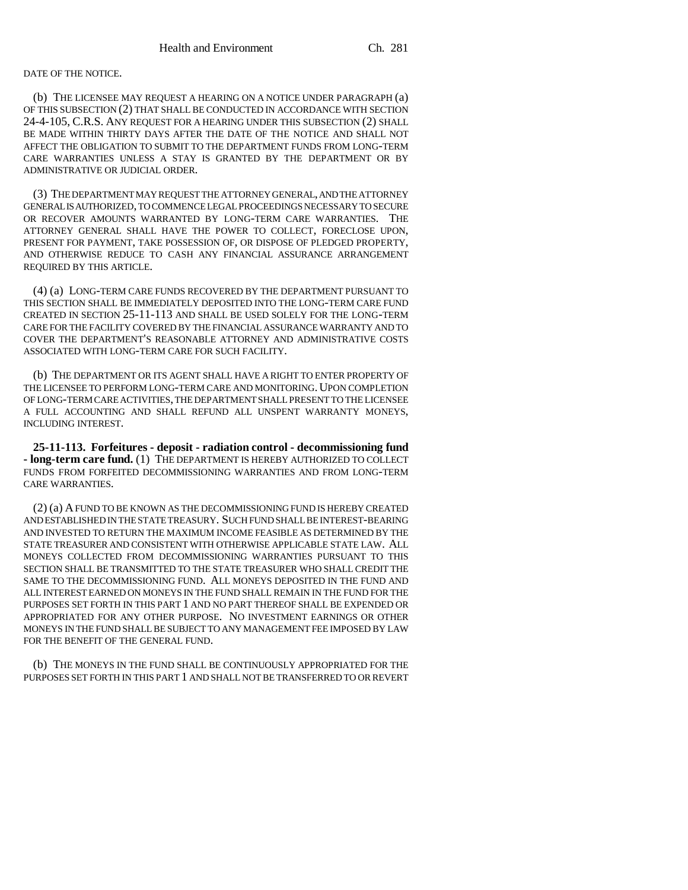### DATE OF THE NOTICE.

(b) THE LICENSEE MAY REQUEST A HEARING ON A NOTICE UNDER PARAGRAPH (a) OF THIS SUBSECTION (2) THAT SHALL BE CONDUCTED IN ACCORDANCE WITH SECTION 24-4-105, C.R.S. ANY REQUEST FOR A HEARING UNDER THIS SUBSECTION (2) SHALL BE MADE WITHIN THIRTY DAYS AFTER THE DATE OF THE NOTICE AND SHALL NOT AFFECT THE OBLIGATION TO SUBMIT TO THE DEPARTMENT FUNDS FROM LONG-TERM CARE WARRANTIES UNLESS A STAY IS GRANTED BY THE DEPARTMENT OR BY ADMINISTRATIVE OR JUDICIAL ORDER.

(3) THE DEPARTMENT MAY REQUEST THE ATTORNEY GENERAL, AND THE ATTORNEY GENERAL IS AUTHORIZED, TO COMMENCE LEGAL PROCEEDINGS NECESSARY TO SECURE OR RECOVER AMOUNTS WARRANTED BY LONG-TERM CARE WARRANTIES. THE ATTORNEY GENERAL SHALL HAVE THE POWER TO COLLECT, FORECLOSE UPON, PRESENT FOR PAYMENT, TAKE POSSESSION OF, OR DISPOSE OF PLEDGED PROPERTY, AND OTHERWISE REDUCE TO CASH ANY FINANCIAL ASSURANCE ARRANGEMENT REQUIRED BY THIS ARTICLE.

(4) (a) LONG-TERM CARE FUNDS RECOVERED BY THE DEPARTMENT PURSUANT TO THIS SECTION SHALL BE IMMEDIATELY DEPOSITED INTO THE LONG-TERM CARE FUND CREATED IN SECTION 25-11-113 AND SHALL BE USED SOLELY FOR THE LONG-TERM CARE FOR THE FACILITY COVERED BY THE FINANCIAL ASSURANCE WARRANTY AND TO COVER THE DEPARTMENT'S REASONABLE ATTORNEY AND ADMINISTRATIVE COSTS ASSOCIATED WITH LONG-TERM CARE FOR SUCH FACILITY.

(b) THE DEPARTMENT OR ITS AGENT SHALL HAVE A RIGHT TO ENTER PROPERTY OF THE LICENSEE TO PERFORM LONG-TERM CARE AND MONITORING. UPON COMPLETION OF LONG-TERM CARE ACTIVITIES, THE DEPARTMENT SHALL PRESENT TO THE LICENSEE A FULL ACCOUNTING AND SHALL REFUND ALL UNSPENT WARRANTY MONEYS, INCLUDING INTEREST.

**25-11-113. Forfeitures - deposit - radiation control - decommissioning fund - long-term care fund.** (1) THE DEPARTMENT IS HEREBY AUTHORIZED TO COLLECT FUNDS FROM FORFEITED DECOMMISSIONING WARRANTIES AND FROM LONG-TERM CARE WARRANTIES.

(2) (a) A FUND TO BE KNOWN AS THE DECOMMISSIONING FUND IS HEREBY CREATED AND ESTABLISHED IN THE STATE TREASURY. SUCH FUND SHALL BE INTEREST-BEARING AND INVESTED TO RETURN THE MAXIMUM INCOME FEASIBLE AS DETERMINED BY THE STATE TREASURER AND CONSISTENT WITH OTHERWISE APPLICABLE STATE LAW. ALL MONEYS COLLECTED FROM DECOMMISSIONING WARRANTIES PURSUANT TO THIS SECTION SHALL BE TRANSMITTED TO THE STATE TREASURER WHO SHALL CREDIT THE SAME TO THE DECOMMISSIONING FUND. ALL MONEYS DEPOSITED IN THE FUND AND ALL INTEREST EARNED ON MONEYS IN THE FUND SHALL REMAIN IN THE FUND FOR THE PURPOSES SET FORTH IN THIS PART 1 AND NO PART THEREOF SHALL BE EXPENDED OR APPROPRIATED FOR ANY OTHER PURPOSE. NO INVESTMENT EARNINGS OR OTHER MONEYS IN THE FUND SHALL BE SUBJECT TO ANY MANAGEMENT FEE IMPOSED BY LAW FOR THE BENEFIT OF THE GENERAL FUND.

(b) THE MONEYS IN THE FUND SHALL BE CONTINUOUSLY APPROPRIATED FOR THE PURPOSES SET FORTH IN THIS PART 1 AND SHALL NOT BE TRANSFERRED TO OR REVERT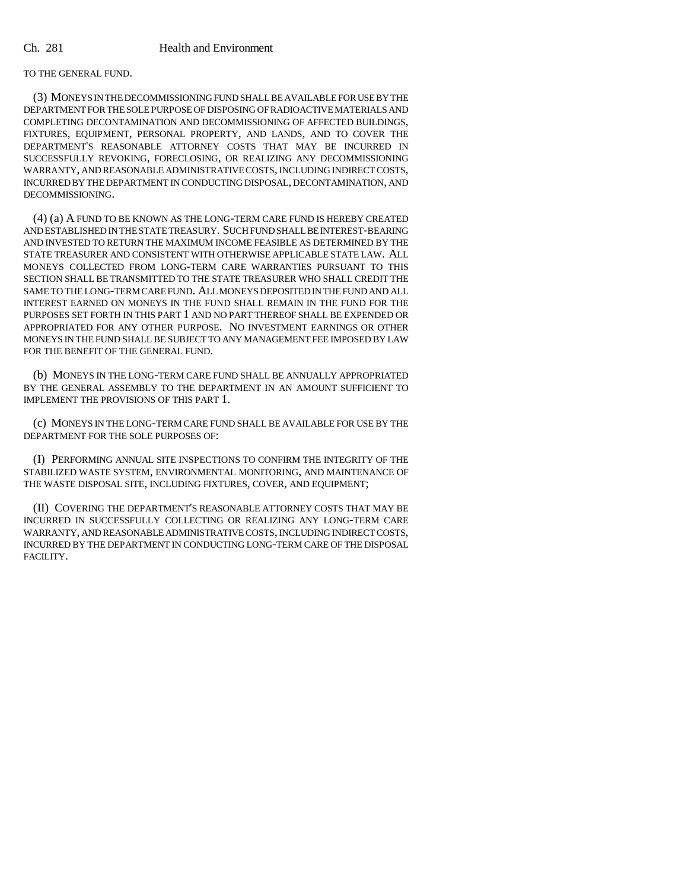TO THE GENERAL FUND.

(3) MONEYS IN THE DECOMMISSIONING FUND SHALL BE AVAILABLE FOR USE BY THE DEPARTMENT FOR THE SOLE PURPOSE OF DISPOSING OF RADIOACTIVE MATERIALS AND COMPLETING DECONTAMINATION AND DECOMMISSIONING OF AFFECTED BUILDINGS, FIXTURES, EQUIPMENT, PERSONAL PROPERTY, AND LANDS, AND TO COVER THE DEPARTMENT'S REASONABLE ATTORNEY COSTS THAT MAY BE INCURRED IN SUCCESSFULLY REVOKING, FORECLOSING, OR REALIZING ANY DECOMMISSIONING WARRANTY, AND REASONABLE ADMINISTRATIVE COSTS, INCLUDING INDIRECT COSTS, INCURRED BY THE DEPARTMENT IN CONDUCTING DISPOSAL, DECONTAMINATION, AND DECOMMISSIONING.

(4) (a) A FUND TO BE KNOWN AS THE LONG-TERM CARE FUND IS HEREBY CREATED AND ESTABLISHED IN THE STATE TREASURY. SUCH FUND SHALL BE INTEREST-BEARING AND INVESTED TO RETURN THE MAXIMUM INCOME FEASIBLE AS DETERMINED BY THE STATE TREASURER AND CONSISTENT WITH OTHERWISE APPLICABLE STATE LAW. ALL MONEYS COLLECTED FROM LONG-TERM CARE WARRANTIES PURSUANT TO THIS SECTION SHALL BE TRANSMITTED TO THE STATE TREASURER WHO SHALL CREDIT THE SAME TO THE LONG-TERM CARE FUND. ALL MONEYS DEPOSITED IN THE FUND AND ALL INTEREST EARNED ON MONEYS IN THE FUND SHALL REMAIN IN THE FUND FOR THE PURPOSES SET FORTH IN THIS PART 1 AND NO PART THEREOF SHALL BE EXPENDED OR APPROPRIATED FOR ANY OTHER PURPOSE. NO INVESTMENT EARNINGS OR OTHER MONEYS IN THE FUND SHALL BE SUBJECT TO ANY MANAGEMENT FEE IMPOSED BY LAW FOR THE BENEFIT OF THE GENERAL FUND.

(b) MONEYS IN THE LONG-TERM CARE FUND SHALL BE ANNUALLY APPROPRIATED BY THE GENERAL ASSEMBLY TO THE DEPARTMENT IN AN AMOUNT SUFFICIENT TO IMPLEMENT THE PROVISIONS OF THIS PART 1.

(c) MONEYS IN THE LONG-TERM CARE FUND SHALL BE AVAILABLE FOR USE BY THE DEPARTMENT FOR THE SOLE PURPOSES OF:

(I) PERFORMING ANNUAL SITE INSPECTIONS TO CONFIRM THE INTEGRITY OF THE STABILIZED WASTE SYSTEM, ENVIRONMENTAL MONITORING, AND MAINTENANCE OF THE WASTE DISPOSAL SITE, INCLUDING FIXTURES, COVER, AND EQUIPMENT;

(II) COVERING THE DEPARTMENT'S REASONABLE ATTORNEY COSTS THAT MAY BE INCURRED IN SUCCESSFULLY COLLECTING OR REALIZING ANY LONG-TERM CARE WARRANTY, AND REASONABLE ADMINISTRATIVE COSTS, INCLUDING INDIRECT COSTS, INCURRED BY THE DEPARTMENT IN CONDUCTING LONG-TERM CARE OF THE DISPOSAL FACILITY.